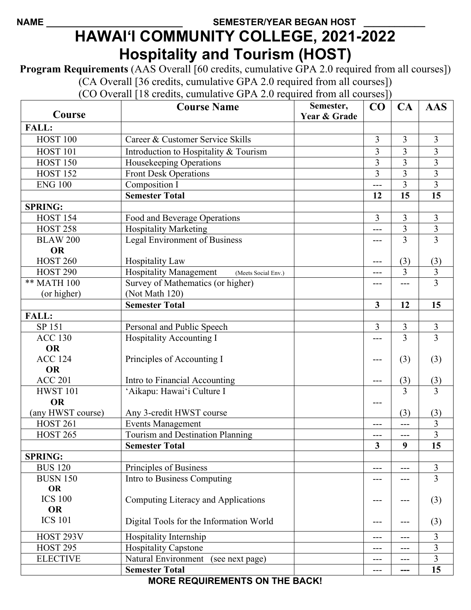## NAME SEMESTER/YEAR BEGAN HOST **HAWAI'I COMMUNITY COLLEGE, 2021-2022 Hospitality and Tourism (HOST)**

**Program Requirements** (AAS Overall [60 credits, cumulative GPA 2.0 required from all courses]) (CA Overall [36 credits, cumulative GPA 2.0 required from all courses])

(CO Overall [18 credits, cumulative GPA 2.0 required from all courses])

| Course                       | <b>Course Name</b>                                   | Semester,<br>Year & Grade | CO             | CA             | <b>AAS</b>              |
|------------------------------|------------------------------------------------------|---------------------------|----------------|----------------|-------------------------|
| FALL:                        |                                                      |                           |                |                |                         |
| <b>HOST 100</b>              | Career & Customer Service Skills                     |                           | 3              | $\overline{3}$ | 3                       |
| <b>HOST 101</b>              | Introduction to Hospitality & Tourism                |                           | $\overline{3}$ | 3              | 3                       |
| <b>HOST 150</b>              | Housekeeping Operations                              |                           | $\overline{3}$ | 3              | $\overline{3}$          |
| <b>HOST 152</b>              | <b>Front Desk Operations</b>                         |                           | $\overline{3}$ | $\overline{3}$ | $\overline{\mathbf{3}}$ |
| <b>ENG 100</b>               | Composition I                                        |                           | ---            | 3              | 3                       |
|                              | <b>Semester Total</b>                                |                           | 12             | 15             | 15                      |
| <b>SPRING:</b>               |                                                      |                           |                |                |                         |
| <b>HOST 154</b>              | Food and Beverage Operations                         |                           | $\overline{3}$ | 3              | 3                       |
| <b>HOST 258</b>              | <b>Hospitality Marketing</b>                         |                           | ---            | $\mathfrak{Z}$ | $\overline{3}$          |
| <b>BLAW 200</b>              | <b>Legal Environment of Business</b>                 |                           | ---            | 3              | $\overline{3}$          |
| <b>OR</b>                    |                                                      |                           |                |                |                         |
| <b>HOST 260</b>              | <b>Hospitality Law</b>                               |                           | ---            | (3)            | (3)                     |
| <b>HOST 290</b>              | <b>Hospitality Management</b><br>(Meets Social Env.) |                           | ---            | $\overline{3}$ | $\overline{3}$          |
| ** MATH 100                  | Survey of Mathematics (or higher)                    |                           | ---            | ---            | $\overline{3}$          |
| (or higher)                  | (Not Math 120)                                       |                           |                |                |                         |
|                              | <b>Semester Total</b>                                |                           | $\overline{3}$ | 12             | 15                      |
| <b>FALL:</b>                 |                                                      |                           |                |                |                         |
| SP 151                       | Personal and Public Speech                           |                           | 3              | 3              | 3                       |
| <b>ACC 130</b>               | <b>Hospitality Accounting I</b>                      |                           | ---            | 3              | $\overline{3}$          |
| <b>OR</b>                    |                                                      |                           |                |                |                         |
| <b>ACC 124</b>               | Principles of Accounting I                           |                           | ---            | (3)            | (3)                     |
| <b>OR</b>                    |                                                      |                           |                |                |                         |
| <b>ACC 201</b>               | Intro to Financial Accounting                        |                           | ---            | (3)            | (3)                     |
| <b>HWST 101</b>              | 'Aikapu: Hawai'i Culture I                           |                           |                | 3              | 3                       |
| <b>OR</b>                    |                                                      |                           | ---            |                |                         |
| (any HWST course)            | Any 3-credit HWST course                             |                           |                | (3)            | (3)                     |
| <b>HOST 261</b>              | <b>Events Management</b>                             |                           | ---            | ---            | 3                       |
| <b>HOST 265</b>              | Tourism and Destination Planning                     |                           | ---            | ---            | 3                       |
|                              | <b>Semester Total</b>                                |                           | 3              | 9              | 15                      |
| <b>SPRING:</b>               |                                                      |                           |                |                |                         |
| <b>BUS 120</b>               | Principles of Business                               |                           | ---            | ---            | 3                       |
| <b>BUSN 150</b><br><b>OR</b> | Intro to Business Computing                          |                           |                |                | 3                       |
| <b>ICS 100</b>               | Computing Literacy and Applications                  |                           |                |                | (3)                     |
| <b>OR</b><br><b>ICS 101</b>  | Digital Tools for the Information World              |                           |                |                | (3)                     |
| HOST 293V                    | Hospitality Internship                               |                           | ---            | ---            | 3                       |
| <b>HOST 295</b>              | <b>Hospitality Capstone</b>                          |                           | ---            | ---            | 3                       |
| <b>ELECTIVE</b>              | Natural Environment (see next page)                  |                           | ---            | ---            | 3                       |
|                              | <b>Semester Total</b>                                |                           | ---            | ---            | 15                      |
|                              |                                                      |                           |                |                |                         |

**MORE REQUIREMENTS ON THE BACK!**